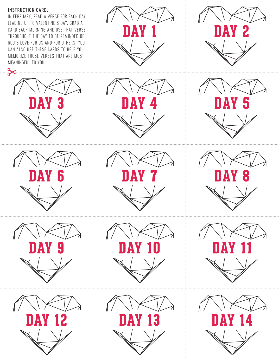